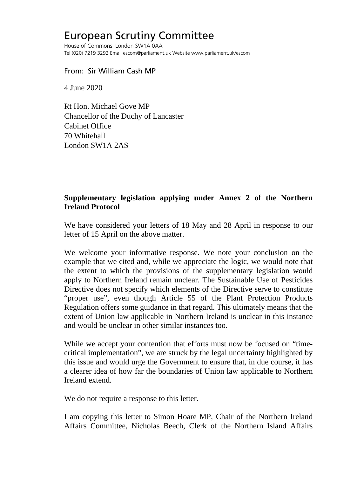## European Scrutiny Committee

House of Commons London SW1A 0AA Tel (020) 7219 3292 Email escom@parliament.uk Website www.parliament.uk/escom

From: Sir William Cash MP

4 June 2020

Rt Hon. Michael Gove MP Chancellor of the Duchy of Lancaster Cabinet Office 70 Whitehall London SW1A 2AS

## **Supplementary legislation applying under Annex 2 of the Northern Ireland Protocol**

We have considered your letters of 18 May and 28 April in response to our letter of 15 April on the above matter.

We welcome your informative response. We note your conclusion on the example that we cited and, while we appreciate the logic, we would note that the extent to which the provisions of the supplementary legislation would apply to Northern Ireland remain unclear. The Sustainable Use of Pesticides Directive does not specify which elements of the Directive serve to constitute "proper use", even though Article 55 of the Plant Protection Products Regulation offers some guidance in that regard. This ultimately means that the extent of Union law applicable in Northern Ireland is unclear in this instance and would be unclear in other similar instances too.

While we accept your contention that efforts must now be focused on "timecritical implementation", we are struck by the legal uncertainty highlighted by this issue and would urge the Government to ensure that, in due course, it has a clearer idea of how far the boundaries of Union law applicable to Northern Ireland extend.

We do not require a response to this letter.

I am copying this letter to Simon Hoare MP, Chair of the Northern Ireland Affairs Committee, Nicholas Beech, Clerk of the Northern Island Affairs